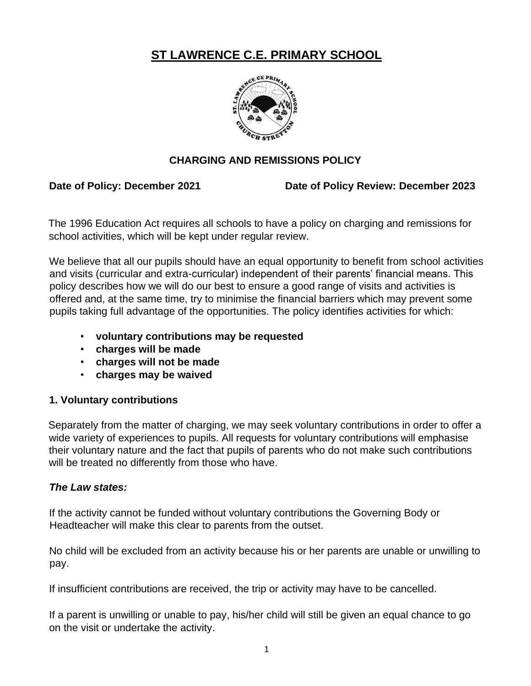# **ST LAWRENCE C.E. PRIMARY SCHOOL**



# **CHARGING AND REMISSIONS POLICY**

Date of Policy: December 2021 Date of Policy Review: December 2023

The 1996 Education Act requires all schools to have a policy on charging and remissions for school activities, which will be kept under regular review.

We believe that all our pupils should have an equal opportunity to benefit from school activities and visits (curricular and extra-curricular) independent of their parents' financial means. This policy describes how we will do our best to ensure a good range of visits and activities is offered and, at the same time, try to minimise the financial barriers which may prevent some pupils taking full advantage of the opportunities. The policy identifies activities for which:

- **voluntary contributions may be requested**
- **charges will be made**
- **charges will not be made**
- **charges may be waived**

#### **1. Voluntary contributions**

Separately from the matter of charging, we may seek voluntary contributions in order to offer a wide variety of experiences to pupils. All requests for voluntary contributions will emphasise their voluntary nature and the fact that pupils of parents who do not make such contributions will be treated no differently from those who have.

# *The Law states:*

If the activity cannot be funded without voluntary contributions the Governing Body or Headteacher will make this clear to parents from the outset.

No child will be excluded from an activity because his or her parents are unable or unwilling to pay.

If insufficient contributions are received, the trip or activity may have to be cancelled.

If a parent is unwilling or unable to pay, his/her child will still be given an equal chance to go on the visit or undertake the activity.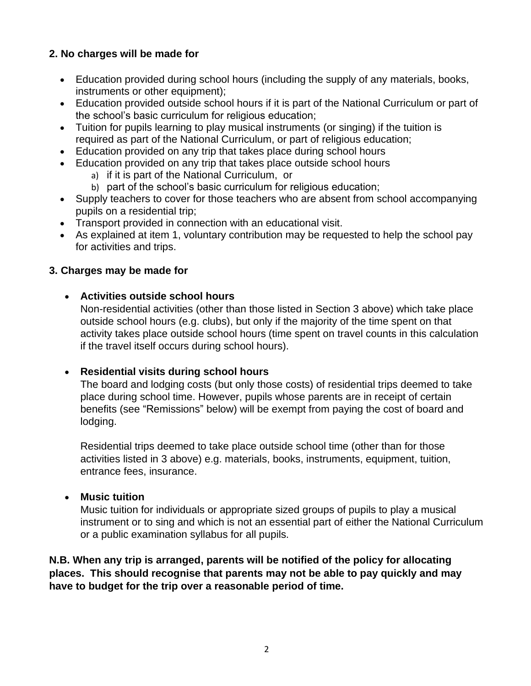# **2. No charges will be made for**

- Education provided during school hours (including the supply of any materials, books, instruments or other equipment);
- Education provided outside school hours if it is part of the National Curriculum or part of the school's basic curriculum for religious education;
- Tuition for pupils learning to play musical instruments (or singing) if the tuition is required as part of the National Curriculum, or part of religious education;
- Education provided on any trip that takes place during school hours
- Education provided on any trip that takes place outside school hours
	- a) if it is part of the National Curriculum, or
	- b) part of the school's basic curriculum for religious education;
- Supply teachers to cover for those teachers who are absent from school accompanying pupils on a residential trip;
- Transport provided in connection with an educational visit.
- As explained at item 1, voluntary contribution may be requested to help the school pay for activities and trips.

### **3. Charges may be made for**

### • **Activities outside school hours**

Non-residential activities (other than those listed in Section 3 above) which take place outside school hours (e.g. clubs), but only if the majority of the time spent on that activity takes place outside school hours (time spent on travel counts in this calculation if the travel itself occurs during school hours).

#### • **Residential visits during school hours**

The board and lodging costs (but only those costs) of residential trips deemed to take place during school time. However, pupils whose parents are in receipt of certain benefits (see "Remissions" below) will be exempt from paying the cost of board and lodging.

Residential trips deemed to take place outside school time (other than for those activities listed in 3 above) e.g. materials, books, instruments, equipment, tuition, entrance fees, insurance.

#### • **Music tuition**

Music tuition for individuals or appropriate sized groups of pupils to play a musical instrument or to sing and which is not an essential part of either the National Curriculum or a public examination syllabus for all pupils.

**N.B. When any trip is arranged, parents will be notified of the policy for allocating places. This should recognise that parents may not be able to pay quickly and may have to budget for the trip over a reasonable period of time.**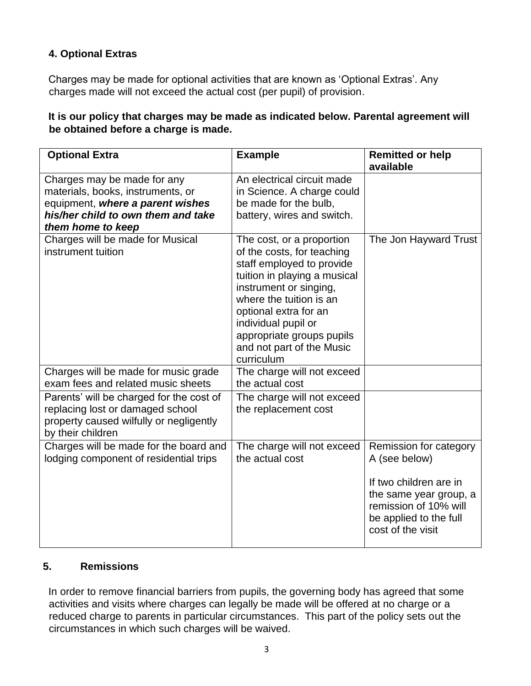# **4. Optional Extras**

Charges may be made for optional activities that are known as 'Optional Extras'. Any charges made will not exceed the actual cost (per pupil) of provision.

### **It is our policy that charges may be made as indicated below. Parental agreement will be obtained before a charge is made.**

| <b>Optional Extra</b>                                                                                                                                           | <b>Example</b>                                                                                                                                                                                                                                                                                    | <b>Remitted or help</b><br>available                                                                                                                                |
|-----------------------------------------------------------------------------------------------------------------------------------------------------------------|---------------------------------------------------------------------------------------------------------------------------------------------------------------------------------------------------------------------------------------------------------------------------------------------------|---------------------------------------------------------------------------------------------------------------------------------------------------------------------|
| Charges may be made for any<br>materials, books, instruments, or<br>equipment, where a parent wishes<br>his/her child to own them and take<br>them home to keep | An electrical circuit made<br>in Science. A charge could<br>be made for the bulb,<br>battery, wires and switch.                                                                                                                                                                                   |                                                                                                                                                                     |
| Charges will be made for Musical<br>instrument tuition                                                                                                          | The cost, or a proportion<br>of the costs, for teaching<br>staff employed to provide<br>tuition in playing a musical<br>instrument or singing,<br>where the tuition is an<br>optional extra for an<br>individual pupil or<br>appropriate groups pupils<br>and not part of the Music<br>curriculum | The Jon Hayward Trust                                                                                                                                               |
| Charges will be made for music grade<br>exam fees and related music sheets                                                                                      | The charge will not exceed<br>the actual cost                                                                                                                                                                                                                                                     |                                                                                                                                                                     |
| Parents' will be charged for the cost of<br>replacing lost or damaged school<br>property caused wilfully or negligently<br>by their children                    | The charge will not exceed<br>the replacement cost                                                                                                                                                                                                                                                |                                                                                                                                                                     |
| Charges will be made for the board and<br>lodging component of residential trips                                                                                | The charge will not exceed<br>the actual cost                                                                                                                                                                                                                                                     | Remission for category<br>A (see below)<br>If two children are in<br>the same year group, a<br>remission of 10% will<br>be applied to the full<br>cost of the visit |

#### **5. Remissions**

In order to remove financial barriers from pupils, the governing body has agreed that some activities and visits where charges can legally be made will be offered at no charge or a reduced charge to parents in particular circumstances. This part of the policy sets out the circumstances in which such charges will be waived.